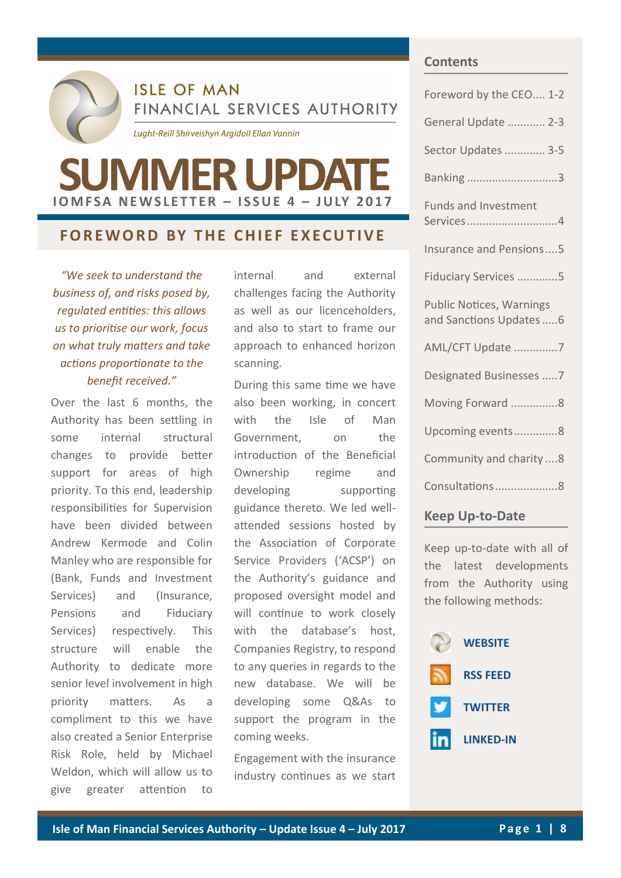

**ISLE OF MAN** FINANCIAL SERVICES AUTHORITY

Lught-Reill Shirveishyn Argidoil Ellan Vannin

# **I O M F S A N E W S L E T T E R – I S S U E 4 – J U LY 2 0 1 7 SUMMER UPDATE**

## **FOREWORD BY THE CHIEF EXECUTIVE**

*"We seek to understand the business of, and risks posed by, regulated entities: this allows us to prioritise our work, focus on what truly matters and take actions proportionate to the benefit received."*

Over the last 6 months, the Authority has been settling in some internal structural changes to provide better support for areas of high priority. To this end, leadership responsibilities for Supervision have been divided between Andrew Kermode and Colin Manley who are responsible for (Bank, Funds and Investment Services) and (Insurance, Pensions and Fiduciary Services) respectively. This structure will enable the Authority to dedicate more senior level involvement in high priority matters. As a compliment to this we have also created a Senior Enterprise Risk Role, held by Michael Weldon, which will allow us to give greater attention to

internal and external challenges facing the Authority as well as our licenceholders, and also to start to frame our approach to enhanced horizon scanning.

During this same time we have also been working, in concert with the Isle of Man Government, on the introduction of the Beneficial Ownership regime and developing supporting guidance thereto. We led wellattended sessions hosted by the Association of Corporate Service Providers ('ACSP') on the Authority's guidance and proposed oversight model and will continue to work closely with the database's host, Companies Registry, to respond to any queries in regards to the new database. We will be developing some Q&As to support the program in the coming weeks.

Engagement with the insurance industry continues as we start

#### **Contents**

| Foreword by the CEO 1-2                                     |
|-------------------------------------------------------------|
| General Update  2-3                                         |
| Sector Updates  3-5                                         |
| Banking3                                                    |
| <b>Funds and Investment</b><br>Services4                    |
| Insurance and Pensions5                                     |
| Fiduciary Services 5                                        |
|                                                             |
| <b>Public Notices, Warnings</b><br>and Sanctions Updates  6 |
| AML/CFT Update 7                                            |
| Designated Businesses 7                                     |
| Moving Forward 8                                            |
| Upcoming events8                                            |
| Community and charity 8                                     |
| Consultations8                                              |

### **Keep Up-to-Date**

Keep up-to-date with all of the latest developments from the Authority using the following methods:

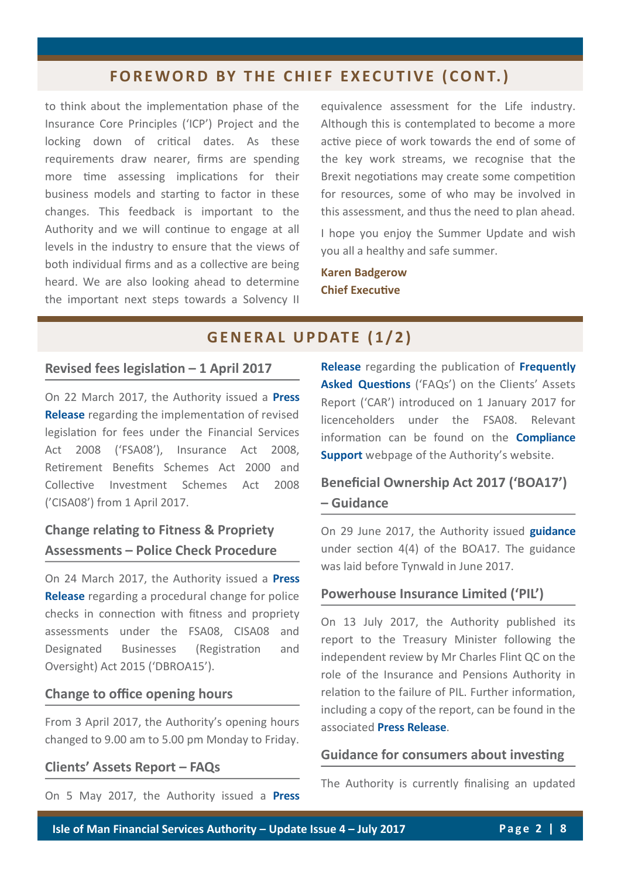# **FOREWORD BY THE CHIEF EXECUTIVE (CONT.)**

to think about the implementation phase of the Insurance Core Principles ('ICP') Project and the locking down of critical dates. As these requirements draw nearer, firms are spending more time assessing implications for their business models and starting to factor in these changes. This feedback is important to the Authority and we will continue to engage at all levels in the industry to ensure that the views of both individual firms and as a collective are being heard. We are also looking ahead to determine the important next steps towards a Solvency II

equivalence assessment for the Life industry. Although this is contemplated to become a more active piece of work towards the end of some of the key work streams, we recognise that the Brexit negotiations may create some competition for resources, some of who may be involved in this assessment, and thus the need to plan ahead.

I hope you enjoy the Summer Update and wish you all a healthy and safe summer.

**Karen Badgerow Chief Executive**

# **GENERAL UPDATE (1/2)**

#### **Revised fees legislation – 1 April 2017**

On 22 March 2017, the Authority issued a **[Press](http://www.iomfsa.im/ViewNews.gov?page=lib/news/iomfsa/revisedfeeslegis.xml&menuid=11570)  [Release](http://www.iomfsa.im/ViewNews.gov?page=lib/news/iomfsa/revisedfeeslegis.xml&menuid=11570)** regarding the implementation of revised legislation for fees under the Financial Services Act 2008 ('FSA08'), Insurance Act 2008, Retirement Benefits Schemes Act 2000 and Collective Investment Schemes Act 2008 ('CISA08') from 1 April 2017.

# **Change relating to Fitness & Propriety Assessments – Police Check Procedure**

On 24 March 2017, the Authority issued a **[Press](http://www.iomfsa.im/ViewNews.gov?page=lib/news/iomfsa/changetofitnessp.xml&menuid=11570)  [Release](http://www.iomfsa.im/ViewNews.gov?page=lib/news/iomfsa/changetofitnessp.xml&menuid=11570)** regarding a procedural change for police checks in connection with fitness and propriety assessments under the FSA08, CISA08 and Designated Businesses (Registration and Oversight) Act 2015 ('DBROA15').

#### **Change to office opening hours**

From 3 April 2017, the Authority's opening hours changed to 9.00 am to 5.00 pm Monday to Friday.

#### **Clients' Assets Report – FAQs**

On 5 May 2017, the Authority issued a **[Press](http://www.iomfsa.im/ViewNews.gov?page=lib/news/iomfsa/clientsassetsrep.xml&menuid=11570)** 

**[Release](http://www.iomfsa.im/ViewNews.gov?page=lib/news/iomfsa/clientsassetsrep.xml&menuid=11570)** regarding the publication of **[Frequently](https://www.gov.im/lib/docs/iomfsa/carfaqs.pdf)  [Asked Questions](https://www.gov.im/lib/docs/iomfsa/carfaqs.pdf)** ('FAQs') on the Clients' Assets Report ('CAR') introduced on 1 January 2017 for licenceholders under the FSA08. Relevant information can be found on the **[Compliance](http://www.iomfsa.im/beingregulated/POSTAugLHs/reportingrequirements.xml)  [Support](http://www.iomfsa.im/beingregulated/POSTAugLHs/reportingrequirements.xml)** webpage of the Authority's website.

# **Beneficial Ownership Act 2017 ('BOA17') – Guidance**

On 29 June 2017, the Authority issued **[guidance](http://www.gov.im/lib/docs/iomfsa/guidancebeneficialownershipact2017.pdf)** under section 4(4) of the BOA17. The guidance was laid before Tynwald in June 2017.

#### **Powerhouse Insurance Limited ('PIL')**

On 13 July 2017, the Authority published its report to the Treasury Minister following the independent review by Mr Charles Flint QC on the role of the Insurance and Pensions Authority in relation to the failure of PIL. Further information, including a copy of the report, can be found in the associated **[Press Release](http://www.iomfsa.im/ViewNews.gov?page=lib/news/iomfsa/powerhouseinsura.xml&menuid=11570)**.

#### **Guidance for consumers about investing**

The Authority is currently finalising an updated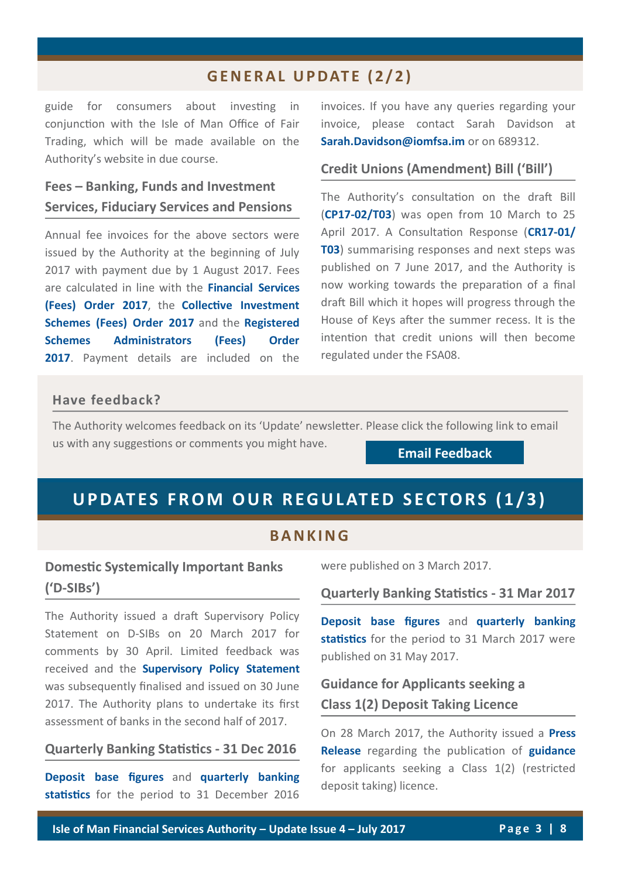# **G E N E R A L U P DAT E ( 2 / 2 )**

guide for consumers about investing in conjunction with the Isle of Man Office of Fair Trading, which will be made available on the Authority's website in due course.

# **Fees – Banking, Funds and Investment Services, Fiduciary Services and Pensions**

Annual fee invoices for the above sectors were issued by the Authority at the beginning of July 2017 with payment due by 1 August 2017. Fees are calculated in line with the **[Financial Services](http://www.iomfsa.im/lib/docs/iomfsa/financialservicesfeesorder.pdf)  [\(Fees\) Order 2017](http://www.iomfsa.im/lib/docs/iomfsa/financialservicesfeesorder.pdf)**, the **[Collective Investment](http://www.iomfsa.im/lib/docs/iomfsa/collectiveinvestmentschemesfeesord.pdf)  [Schemes \(Fees\) Order 2017](http://www.iomfsa.im/lib/docs/iomfsa/collectiveinvestmentschemesfeesord.pdf)** and the **[Registered](http://www.iomfsa.im/lib/docs/iomfsa/registeredschemesadministratorsfees.pdf)  [Schemes Administrators \(Fees\) Order](http://www.iomfsa.im/lib/docs/iomfsa/registeredschemesadministratorsfees.pdf)  [2017](http://www.iomfsa.im/lib/docs/iomfsa/registeredschemesadministratorsfees.pdf)**. Payment details are included on the

invoices. If you have any queries regarding your invoice, please contact Sarah Davidson at **[Sarah.Davidson@iomfsa.im](mailto:Sarah.Davidson@iomfsa.im?subject=RE:%20Annual%20Fees%20–%20Banking,%20Funds%20and%20Investment%20Services,%20Fiduciary%20Services%20and%20Pensions)** or on 689312.

#### **Credit Unions (Amendment) Bill ('Bill')**

The Authority's consultation on the draft Bill (**CP17-[02/T03](http://www.iomfsa.im/ConsultationDetail.gov?id=613)**) was open from 10 March to 25 April 2017. A Consultation Response (**[CR17](http://www.iomfsa.im/lib/docs/iomfsa/consultations/summaryconsultationresponses.pdf)-01/ [T03](http://www.iomfsa.im/lib/docs/iomfsa/consultations/summaryconsultationresponses.pdf)**) summarising responses and next steps was published on 7 June 2017, and the Authority is now working towards the preparation of a final draft Bill which it hopes will progress through the House of Keys after the summer recess. It is the intention that credit unions will then become regulated under the FSA08.

#### **Have feedback?**

The Authority welcomes feedback on its 'Update' newsletter. Please click the following link to email us with any suggestions or comments you might have.

**[Email Feedback](mailto:andrew.kniveton@iomfsa.im?subject=RE:%20Summer%20)**

# **UPDATES FROM OUR REGULATED SECTORS (1/3)**

#### **B A N K I N G**

# **Domestic Systemically Important Banks ('D-SIBs')**

The Authority issued a draft Supervisory Policy Statement on D-SIBs on 20 March 2017 for comments by 30 April. Limited feedback was received and the **[Supervisory Policy Statement](http://www.iomfsa.im/ViewNews.gov?page=lib/news/iomfsa/supervisorypolic.xml&menuid=11570)** was subsequently finalised and issued on 30 June 2017. The Authority plans to undertake its first assessment of banks in the second half of 2017.

#### **Quarterly Banking Statistics - 31 Dec 2016**

**[Deposit base figures](http://www.iomfsa.im/ViewNews.gov?page=lib/news/iomfsa/movementinisland55.xml&menuid=11570)** and **[quarterly banking](http://www.gov.im/lib/docs/iomfsa/bankingquarterlystatisticalbullet1.pdf)  [statistics](http://www.gov.im/lib/docs/iomfsa/bankingquarterlystatisticalbullet1.pdf)** for the period to 31 December 2016

were published on 3 March 2017.

**Quarterly Banking Statistics - 31 Mar 2017**

**[Deposit base figures](http://www.iomfsa.im/ViewNews.gov?page=lib/news/iomfsa/movementinisland56.xml&menuid=11570)** and **[quarterly banking](http://www.gov.im/lib/docs/iomfsa/bankingbulletinmar2017.pdf)  [statistics](http://www.gov.im/lib/docs/iomfsa/bankingbulletinmar2017.pdf)** for the period to 31 March 2017 were published on 31 May 2017.

# **Guidance for Applicants seeking a Class 1(2) Deposit Taking Licence**

On 28 March 2017, the Authority issued a **[Press](http://www.iomfsa.im/ViewNews.gov?page=lib/news/iomfsa/guidanceforappli.xml&menuid=11570)  [Release](http://www.iomfsa.im/ViewNews.gov?page=lib/news/iomfsa/guidanceforappli.xml&menuid=11570)** regarding the publication of **[guidance](http://www.gov.im/lib/docs/iomfsa/guidanceforclass12applicants.pdf)** for applicants seeking a Class 1(2) (restricted deposit taking) licence.

**Isle of Man Financial Services Authority – Update Issue 4 – July 2017 P a g e 3 | 8**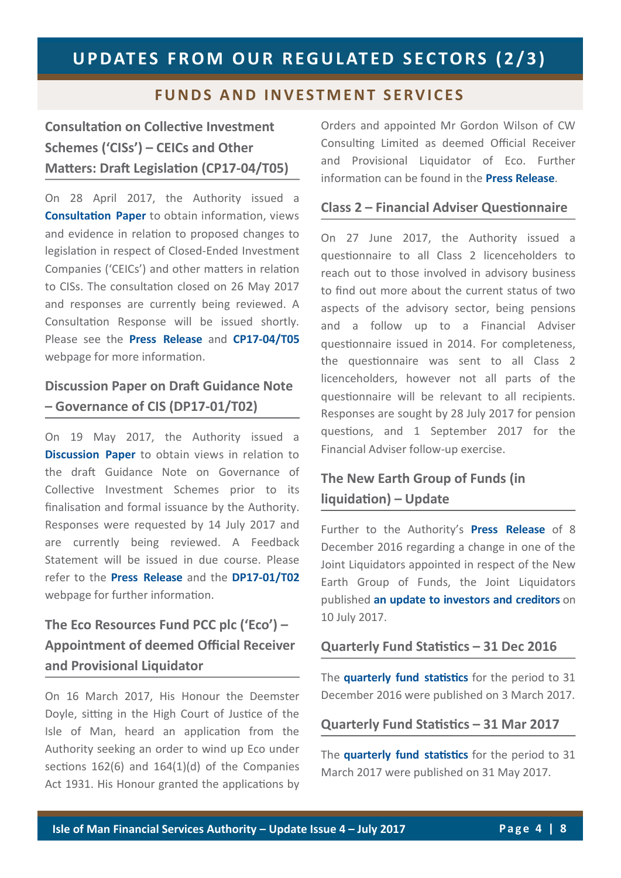## **FUNDS AND INVESTMENT SERVICES**

# **Consultation on Collective Investment Schemes ('CISs') – CEICs and Other Matters: Draft Legislation (CP17-04/T05)**

On 28 April 2017, the Authority issued a **[Consultation Paper](http://www.iomfsa.im/ConsultationDetail.gov?id=616)** to obtain information, views and evidence in relation to proposed changes to legislation in respect of Closed-Ended Investment Companies ('CEICs') and other matters in relation to CISs. The consultation closed on 26 May 2017 and responses are currently being reviewed. A Consultation Response will be issued shortly. Please see the **[Press Release](http://www.iomfsa.im/ViewNews.gov?page=lib/news/iomfsa/collectiveinvest4.xml&menuid=11570)** and **CP17-[04/T05](http://www.iomfsa.im/ConsultationDetail.gov?id=616)** webpage for more information.

# **Discussion Paper on Draft Guidance Note – Governance of CIS (DP17-01/T02)**

On 19 May 2017, the Authority issued a **[Discussion Paper](http://www.iomfsa.im/ConsultationDetail.gov?id=619)** to obtain views in relation to the draft Guidance Note on Governance of Collective Investment Schemes prior to its finalisation and formal issuance by the Authority. Responses were requested by 14 July 2017 and are currently being reviewed. A Feedback Statement will be issued in due course. Please refer to the **[Press Release](http://www.iomfsa.im/ViewNews.gov?page=lib/news/iomfsa/t02draftguidance.xml&menuid=11570)** and the **DP17-[01/T02](http://www.iomfsa.im/ConsultationDetail.gov?id=619)** webpage for further information.

# **The Eco Resources Fund PCC plc ('Eco') – Appointment of deemed Official Receiver and Provisional Liquidator**

On 16 March 2017, His Honour the Deemster Doyle, sitting in the High Court of Justice of the Isle of Man, heard an application from the Authority seeking an order to wind up Eco under sections 162(6) and 164(1)(d) of the Companies Act 1931. His Honour granted the applications by Orders and appointed Mr Gordon Wilson of CW Consulting Limited as deemed Official Receiver and Provisional Liquidator of Eco. Further information can be found in the **[Press Release](http://www.iomfsa.im/ViewNews.gov?page=lib/news/iomfsa/theecoresourcesf2.xml&menuid=11570)**.

#### **Class 2 – Financial Adviser Questionnaire**

On 27 June 2017, the Authority issued a questionnaire to all Class 2 licenceholders to reach out to those involved in advisory business to find out more about the current status of two aspects of the advisory sector, being pensions and a follow up to a Financial Adviser questionnaire issued in 2014. For completeness, the questionnaire was sent to all Class 2 licenceholders, however not all parts of the questionnaire will be relevant to all recipients. Responses are sought by 28 July 2017 for pension questions, and 1 September 2017 for the Financial Adviser follow-up exercise.

# **The New Earth Group of Funds (in liquidation) – Update**

Further to the Authority's **[Press Release](http://www.iomfsa.im/ViewNews.gov?page=lib/news/iomfsa/thenewearthgroup2.xml&menuid=11570)** of 8 December 2016 regarding a change in one of the Joint Liquidators appointed in respect of the New Earth Group of Funds, the Joint Liquidators published **[an update to investors and creditors](http://deloitte-insolvencies.co.uk/k-r/-new-earth-recycling-and-renewables-(infrastructure)-plc-/uk-insolvencies-nerr-update-to-investors-and-creditors-10-july-2017.pdf)** on 10 July 2017.

#### **Quarterly Fund Statistics – 31 Dec 2016**

The **[quarterly fund statistics](http://www.gov.im/lib/docs/iomfsa/fundsbulletindec2016.pdf)** for the period to 31 December 2016 were published on 3 March 2017.

#### **Quarterly Fund Statistics – 31 Mar 2017**

The **[quarterly fund statistics](http://www.gov.im/lib/docs/iomfsa/fundsstatsbulletin31march2017.pdf)** for the period to 31 March 2017 were published on 31 May 2017.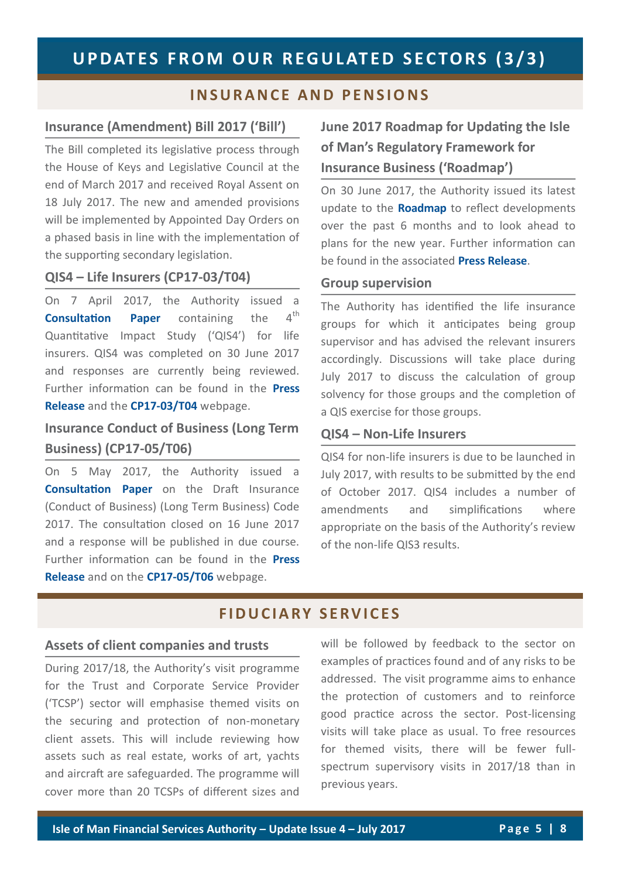### **I N S U R A N C E A N D P E N S I ON S**

#### **Insurance (Amendment) Bill 2017 ('Bill')**

The Bill completed its legislative process through the House of Keys and Legislative Council at the end of March 2017 and received Royal Assent on 18 July 2017. The new and amended provisions will be implemented by Appointed Day Orders on a phased basis in line with the implementation of the supporting secondary legislation.

#### **QIS4 – Life Insurers (CP17-03/T04)**

On 7 April 2017, the Authority issued a **[Consultation Paper](http://www.iomfsa.im/ConsultationDetail.gov?id=615)** containing the 4<sup>th</sup> Quantitative Impact Study ('QIS4') for life insurers. QIS4 was completed on 30 June 2017 and responses are currently being reviewed. Further information can be found in the **[Press](http://www.iomfsa.im/ViewNews.gov?page=lib/news/iomfsa/theisleofmanfina6.xml&menuid=11570)  [Release](http://www.iomfsa.im/ViewNews.gov?page=lib/news/iomfsa/theisleofmanfina6.xml&menuid=11570)** and the **CP17-[03/T04](http://www.iomfsa.im/ConsultationDetail.gov?id=615)** webpage.

# **Insurance Conduct of Business (Long Term Business) (CP17-05/T06)**

On 5 May 2017, the Authority issued a **[Consultation Paper](http://www.iomfsa.im/ConsultationDetail.gov?id=617)** on the Draft Insurance (Conduct of Business) (Long Term Business) Code 2017. The consultation closed on 16 June 2017 and a response will be published in due course. Further information can be found in the **[Press](http://www.iomfsa.im/ViewNews.gov?page=lib/news/iomfsa/insuranceconduct.xml&menuid=11570)  [Release](http://www.iomfsa.im/ViewNews.gov?page=lib/news/iomfsa/insuranceconduct.xml&menuid=11570)** and on the **CP17-[05/T06](http://www.iomfsa.im/ConsultationDetail.gov?id=617)** webpage.

# **June 2017 Roadmap for Updating the Isle of Man's Regulatory Framework for Insurance Business ('Roadmap')**

On 30 June 2017, the Authority issued its latest update to the **[Roadmap](http://www.iomfsa.im/lib/docs/iomfsa/roadmap201506.pdf)** to reflect developments over the past 6 months and to look ahead to plans for the new year. Further information can be found in the associated **[Press Release](http://www.iomfsa.im/ViewNews.gov?page=lib/news/iomfsa/june2017roadmapf.xml&menuid=11570)**.

#### **Group supervision**

The Authority has identified the life insurance groups for which it anticipates being group supervisor and has advised the relevant insurers accordingly. Discussions will take place during July 2017 to discuss the calculation of group solvency for those groups and the completion of a QIS exercise for those groups.

#### **QIS4 – Non-Life Insurers**

QIS4 for non-life insurers is due to be launched in July 2017, with results to be submitted by the end of October 2017. QIS4 includes a number of amendments and simplifications where appropriate on the basis of the Authority's review of the non-life QIS3 results.

### **F I D U C I A R Y S E R V I C E S**

#### **Assets of client companies and trusts**

During 2017/18, the Authority's visit programme for the Trust and Corporate Service Provider ('TCSP') sector will emphasise themed visits on the securing and protection of non-monetary client assets. This will include reviewing how assets such as real estate, works of art, yachts and aircraft are safeguarded. The programme will cover more than 20 TCSPs of different sizes and

will be followed by feedback to the sector on examples of practices found and of any risks to be addressed. The visit programme aims to enhance the protection of customers and to reinforce good practice across the sector. Post-licensing visits will take place as usual. To free resources for themed visits, there will be fewer fullspectrum supervisory visits in 2017/18 than in previous years.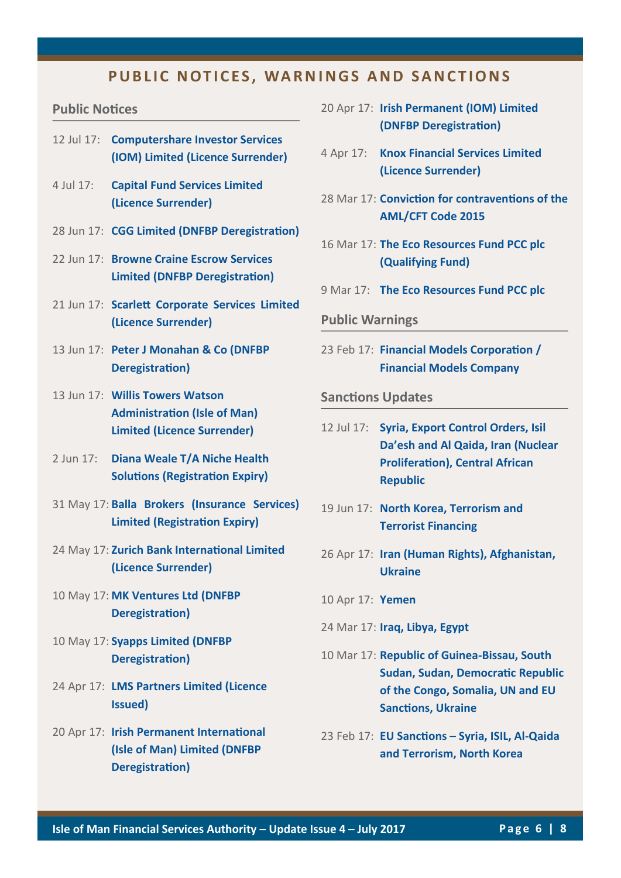### **PUBLIC NOTICES, WARNINGS AND SANCTIONS**

#### **Public Notices**

- 12 Jul 17: **[Computershare Investor Services](http://www.iomfsa.im/ViewNews.gov?page=lib/news/iomfsa/computershareinv.xml&menuid=11570)  [\(IOM\) Limited \(Licence Surrender\)](http://www.iomfsa.im/ViewNews.gov?page=lib/news/iomfsa/computershareinv.xml&menuid=11570)**
- 4 Jul 17: **[Capital Fund Services Limited](http://www.iomfsa.im/ViewNews.gov?page=lib/news/iomfsa/capitalfundservi.xml&menuid=11570)  [\(Licence Surrender\)](http://www.iomfsa.im/ViewNews.gov?page=lib/news/iomfsa/capitalfundservi.xml&menuid=11570)**
- 28 Jun 17: **[CGG Limited \(DNFBP Deregistration\)](http://www.iomfsa.im/ViewNews.gov?page=lib/news/iomfsa/cgglimited.xml&menuid=11570)**
- 22 Jun 17: **[Browne Craine Escrow Services](http://www.iomfsa.im/ViewNews.gov?page=lib/news/iomfsa/brownecraineescr.xml&menuid=11570)  [Limited \(DNFBP Deregistration\)](http://www.iomfsa.im/ViewNews.gov?page=lib/news/iomfsa/brownecraineescr.xml&menuid=11570)**
- 21 Jun 17: **[Scarlett Corporate Services Limited](http://www.iomfsa.im/ViewNews.gov?page=lib/news/iomfsa/scarlettcorporat.xml&menuid=11570)  [\(Licence Surrender\)](http://www.iomfsa.im/ViewNews.gov?page=lib/news/iomfsa/scarlettcorporat.xml&menuid=11570)**
- 13 Jun 17: **[Peter J Monahan & Co \(DNFBP](http://www.iomfsa.im/ViewNews.gov?page=lib/news/iomfsa/peterjmonahanamp.xml&menuid=11570)  [Deregistration\)](http://www.iomfsa.im/ViewNews.gov?page=lib/news/iomfsa/peterjmonahanamp.xml&menuid=11570)**
- 13 Jun 17: **[Willis Towers Watson](http://www.iomfsa.im/ViewNews.gov?page=lib/news/iomfsa/willistowerswats.xml&menuid=11570)  [Administration \(Isle of Man\)](http://www.iomfsa.im/ViewNews.gov?page=lib/news/iomfsa/willistowerswats.xml&menuid=11570)  [Limited \(Licence Surrender\)](http://www.iomfsa.im/ViewNews.gov?page=lib/news/iomfsa/willistowerswats.xml&menuid=11570)**
- 2 Jun 17: **[Diana Weale T/A Niche Health](http://www.iomfsa.im/ViewNews.gov?page=lib/news/iomfsa/anichehealthsolu.xml&menuid=11570)  [Solutions \(Registration Expiry\)](http://www.iomfsa.im/ViewNews.gov?page=lib/news/iomfsa/anichehealthsolu.xml&menuid=11570)**
- 31 May 17: **[Balla Brokers \(Insurance Services\)](http://www.iomfsa.im/ViewNews.gov?page=lib/news/iomfsa/ballabrokersinsu.xml&menuid=11570)  [Limited \(Registration Expiry\)](http://www.iomfsa.im/ViewNews.gov?page=lib/news/iomfsa/ballabrokersinsu.xml&menuid=11570)**
- 24 May 17: **[Zurich Bank International Limited](http://www.iomfsa.im/ViewNews.gov?page=lib/news/iomfsa/zurichbankintern1.xml&menuid=11570)  [\(Licence Surrender\)](http://www.iomfsa.im/ViewNews.gov?page=lib/news/iomfsa/zurichbankintern1.xml&menuid=11570)**
- 10 May 17: **[MK Ventures Ltd \(DNFBP](http://www.iomfsa.im/ViewNews.gov?page=lib/news/iomfsa/mkventuresltd.xml&menuid=11570)  [Deregistration\)](http://www.iomfsa.im/ViewNews.gov?page=lib/news/iomfsa/mkventuresltd.xml&menuid=11570)**
- 10 May 17: **[Syapps Limited \(DNFBP](http://www.iomfsa.im/ViewNews.gov?page=lib/news/iomfsa/syappslimited.xml&menuid=11570)  [Deregistration\)](http://www.iomfsa.im/ViewNews.gov?page=lib/news/iomfsa/syappslimited.xml&menuid=11570)**
- 24 Apr 17: **[LMS Partners Limited \(Licence](http://www.iomfsa.im/ViewNews.gov?page=lib/news/iomfsa/lmspartnerslimit.xml&menuid=11570)  [Issued\)](http://www.iomfsa.im/ViewNews.gov?page=lib/news/iomfsa/lmspartnerslimit.xml&menuid=11570)**
- 20 Apr 17: **[Irish Permanent International](http://www.iomfsa.im/ViewNews.gov?page=lib/news/iomfsa/irishpermanentin.xml&menuid=11570)  [\(Isle of Man\) Limited \(DNFBP](http://www.iomfsa.im/ViewNews.gov?page=lib/news/iomfsa/irishpermanentin.xml&menuid=11570)  [Deregistration\)](http://www.iomfsa.im/ViewNews.gov?page=lib/news/iomfsa/irishpermanentin.xml&menuid=11570)**
- 20 Apr 17: **[Irish Permanent \(IOM\) Limited](http://www.iomfsa.im/ViewNews.gov?page=lib/news/iomfsa/irishpermanentio1.xml&menuid=11570)  [\(DNFBP Deregistration\)](http://www.iomfsa.im/ViewNews.gov?page=lib/news/iomfsa/irishpermanentio1.xml&menuid=11570)**
- 4 Apr 17: **[Knox Financial Services Limited](http://www.iomfsa.im/ViewNews.gov?page=lib/news/iomfsa/knoxfinancialser.xml&menuid=11570)  [\(Licence Surrender\)](http://www.iomfsa.im/ViewNews.gov?page=lib/news/iomfsa/knoxfinancialser.xml&menuid=11570)**
- 28 Mar 17: **[Conviction for contraventions of the](http://www.iomfsa.im/ViewNews.gov?page=lib/news/iomfsa/licenceholdercon.xml&menuid=11570)  [AML/CFT Code 2015](http://www.iomfsa.im/ViewNews.gov?page=lib/news/iomfsa/licenceholdercon.xml&menuid=11570)**
- 16 Mar 17: **[The Eco Resources Fund PCC plc](http://www.iomfsa.im/ViewNews.gov?page=lib/news/iomfsa/theecoresourcesf2.xml&menuid=11570)  [\(Qualifying Fund\)](http://www.iomfsa.im/ViewNews.gov?page=lib/news/iomfsa/theecoresourcesf2.xml&menuid=11570)**
- 9 Mar 17: **[The Eco Resources Fund PCC plc](http://www.iomfsa.im/ViewNews.gov?page=lib/news/iomfsa/inthematterofthe.xml&menuid=11570)**

#### **Public Warnings**

23 Feb 17: **[Financial Models Corporation /](http://www.iomfsa.im/ViewNews.gov?page=lib/news/iomfsa/financialmodelsc.xml&menuid=11570)  [Financial Models Company](http://www.iomfsa.im/ViewNews.gov?page=lib/news/iomfsa/financialmodelsc.xml&menuid=11570)**

#### **Sanctions Updates**

- 12 Jul 17: **[Syria, Export Control Orders, Isil](http://www.iomfsa.im/ViewNews.gov?page=lib/news/iomfsa/sanctionsupdate46.xml&menuid=11570)  [Da'esh and Al Qaida, Iran \(Nuclear](http://www.iomfsa.im/ViewNews.gov?page=lib/news/iomfsa/sanctionsupdate46.xml&menuid=11570)  [Proliferation\), Central African](http://www.iomfsa.im/ViewNews.gov?page=lib/news/iomfsa/sanctionsupdate46.xml&menuid=11570)  [Republic](http://www.iomfsa.im/ViewNews.gov?page=lib/news/iomfsa/sanctionsupdate46.xml&menuid=11570)**
- 19 Jun 17: **[North Korea, Terrorism and](http://www.iomfsa.im/ViewNews.gov?page=lib/news/iomfsa/sanctionsupdate45.xml&menuid=11570)  [Terrorist Financing](http://www.iomfsa.im/ViewNews.gov?page=lib/news/iomfsa/sanctionsupdate45.xml&menuid=11570)**
- 26 Apr 17: **[Iran \(Human Rights\), Afghanistan,](http://www.iomfsa.im/ViewNews.gov?page=lib/news/iomfsa/sanctionsupdate43.xml&menuid=11570)  [Ukraine](http://www.iomfsa.im/ViewNews.gov?page=lib/news/iomfsa/sanctionsupdate43.xml&menuid=11570)**
- 10 Apr 17: **[Yemen](http://www.iomfsa.im/ViewNews.gov?page=lib/news/iomfsa/sanctionsupdate42.xml&menuid=11570)**
- 24 Mar 17: **[Iraq, Libya, Egypt](http://www.iomfsa.im/ViewNews.gov?page=lib/news/iomfsa/egypt1.xml&menuid=11570)**
- 10 Mar 17: **[Republic of Guinea](http://www.iomfsa.im/ViewNews.gov?page=lib/news/iomfsa/sanctionsupdate41.xml&menuid=11570)-Bissau, South [Sudan, Sudan, Democratic Republic](http://www.iomfsa.im/ViewNews.gov?page=lib/news/iomfsa/sanctionsupdate41.xml&menuid=11570)  [of the Congo, Somalia, UN and EU](http://www.iomfsa.im/ViewNews.gov?page=lib/news/iomfsa/sanctionsupdate41.xml&menuid=11570)  [Sanctions, Ukraine](http://www.iomfsa.im/ViewNews.gov?page=lib/news/iomfsa/sanctionsupdate41.xml&menuid=11570)**
- 23 Feb 17: **[EU Sanctions –](http://www.iomfsa.im/ViewNews.gov?page=lib/news/iomfsa/sanctionsupdate40.xml&menuid=11570) Syria, ISIL, Al-Qaida [and Terrorism, North Korea](http://www.iomfsa.im/ViewNews.gov?page=lib/news/iomfsa/sanctionsupdate40.xml&menuid=11570)**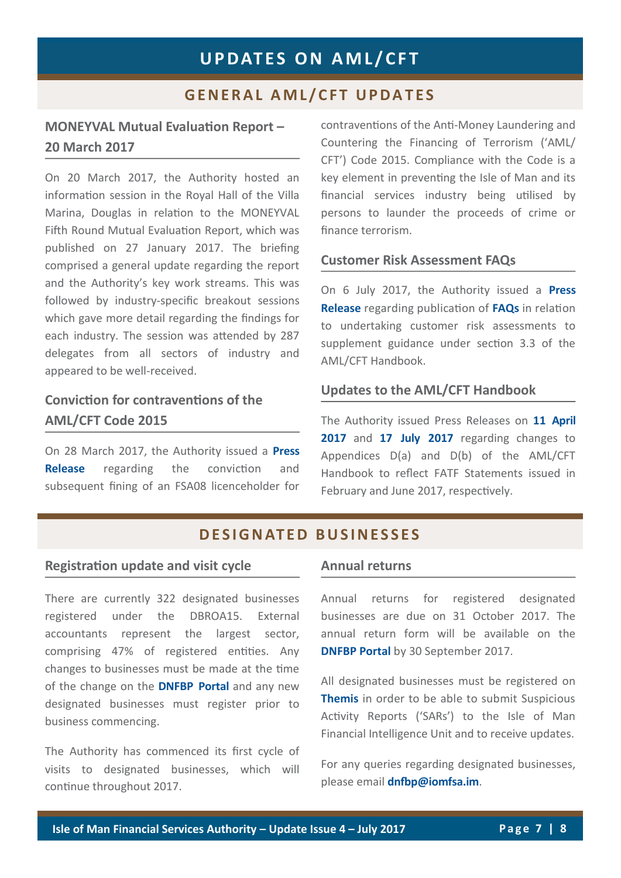# **G E N E R A L A M L / C F T U P D A T E S**

# **MONEYVAL Mutual Evaluation Report – 20 March 2017**

On 20 March 2017, the Authority hosted an information session in the Royal Hall of the Villa Marina, Douglas in relation to the MONEYVAL Fifth Round Mutual Evaluation Report, which was published on 27 January 2017. The briefing comprised a general update regarding the report and the Authority's key work streams. This was followed by industry-specific breakout sessions which gave more detail regarding the findings for each industry. The session was attended by 287 delegates from all sectors of industry and appeared to be well-received.

# **Conviction for contraventions of the AML/CFT Code 2015**

On 28 March 2017, the Authority issued a **[Press](http://www.iomfsa.im/ViewNews.gov?page=lib/news/iomfsa/licenceholdercon.xml&menuid=11570)  [Release](http://www.iomfsa.im/ViewNews.gov?page=lib/news/iomfsa/licenceholdercon.xml&menuid=11570)** regarding the conviction and subsequent fining of an FSA08 licenceholder for contraventions of the Anti-Money Laundering and Countering the Financing of Terrorism ('AML/ CFT') Code 2015. Compliance with the Code is a key element in preventing the Isle of Man and its financial services industry being utilised by persons to launder the proceeds of crime or finance terrorism.

#### **Customer Risk Assessment FAQs**

On 6 July 2017, the Authority issued a **[Press](http://www.iomfsa.im/ViewNews.gov?page=lib/news/iomfsa/customerriskasse.xml&menuid=11570)  [Release](http://www.iomfsa.im/ViewNews.gov?page=lib/news/iomfsa/customerriskasse.xml&menuid=11570)** regarding publication of **[FAQs](http://www.gov.im/lib/docs/iomfsa/AML/customerriskassessmentsfaqs.pdf)** in relation to undertaking customer risk assessments to supplement guidance under section 3.3 of the AML/CFT Handbook.

#### **Updates to the AML/CFT Handbook**

The Authority issued Press Releases on **[11 April](http://www.iomfsa.im/ViewNews.gov?page=lib/news/iomfsa/updatestotheanti.xml&menuid=11570)**  [2017](http://www.iomfsa.im/ViewNews.gov?page=lib/news/iomfsa/updatestotheanti.xml&menuid=11570) and [17 July 2017](http://www.iomfsa.im/ViewNews.gov?page=lib/news/iomfsa/updatestotheanti1.xml&menuid=11570) regarding changes to Appendices D(a) and D(b) of the AML/CFT Handbook to reflect FATF Statements issued in February and June 2017, respectively.

## **D E S I G N AT E D B U S I N E S S E S**

#### **Registration update and visit cycle**

There are currently 322 designated businesses registered under the DBROA15. External accountants represent the largest sector, comprising 47% of registered entities. Any changes to businesses must be made at the time of the change on the **[DNFBP Portal](https://www.iomdnfbp.co.im/)** and any new designated businesses must register prior to business commencing.

The Authority has commenced its first cycle of visits to designated businesses, which will continue throughout 2017.

#### **Annual returns**

Annual returns for registered designated businesses are due on 31 October 2017. The annual return form will be available on the **[DNFBP Portal](https://www.iomdnfbp.co.im/)** by 30 September 2017.

All designated businesses must be registered on **[Themis](https://disclosures.gov.im/formlogin.mth?returnurl=%2f)** in order to be able to submit Suspicious Activity Reports ('SARs') to the Isle of Man Financial Intelligence Unit and to receive updates.

For any queries regarding designated businesses, please email **[dnfbp@iomfsa.im](mailto:dnfbp@iomfsa.im?subject=RE:%20Designated%20Businesses)**.